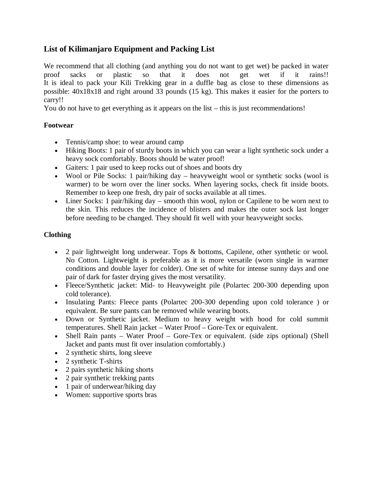# **List of Kilimanjaro Equipment and Packing List**

We recommend that all clothing (and anything you do not want to get wet) be packed in water proof sacks or plastic so that it does not get wet if it rains!! It is ideal to pack your Kili Trekking gear in a duffle bag as close to these dimensions as possible: 40x18x18 and right around 33 pounds (15 kg). This makes it easier for the porters to carry!!

You do not have to get everything as it appears on the list – this is just recommendations!

### **Footwear**

- Tennis/camp shoe: to wear around camp
- Hiking Boots: 1 pair of sturdy boots in which you can wear a light synthetic sock under a heavy sock comfortably. Boots should be water proof!
- Gaiters: 1 pair used to keep rocks out of shoes and boots dry
- Wool or Pile Socks: 1 pair/hiking day heavyweight wool or synthetic socks (wool is warmer) to be worn over the liner socks. When layering socks, check fit inside boots. Remember to keep one fresh, dry pair of socks available at all times.
- Liner Socks: 1 pair/hiking day smooth thin wool, nylon or Capilene to be worn next to the skin. This reduces the incidence of blisters and makes the outer sock last longer before needing to be changed. They should fit well with your heavyweight socks.

### **Clothing**

- 2 pair lightweight long underwear. Tops & bottoms, Capilene, other synthetic or wool. No Cotton. Lightweight is preferable as it is more versatile (worn single in warmer conditions and double layer for colder). One set of white for intense sunny days and one pair of dark for faster drying gives the most versatility.
- Fleece/Synthetic jacket: Mid- to Heavyweight pile (Polartec 200-300 depending upon cold tolerance).
- Insulating Pants: Fleece pants (Polartec 200-300 depending upon cold tolerance) or equivalent. Be sure pants can be removed while wearing boots.
- Down or Synthetic jacket. Medium to heavy weight with hood for cold summit temperatures. Shell Rain jacket – Water Proof – Gore-Tex or equivalent.
- Shell Rain pants Water Proof Gore-Tex or equivalent. (side zips optional) (Shell Jacket and pants must fit over insulation comfortably.)
- 2 synthetic shirts, long sleeve
- 2 synthetic T-shirts
- 2 pairs synthetic hiking shorts
- 2 pair synthetic trekking pants
- 1 pair of underwear/hiking day
- Women: supportive sports bras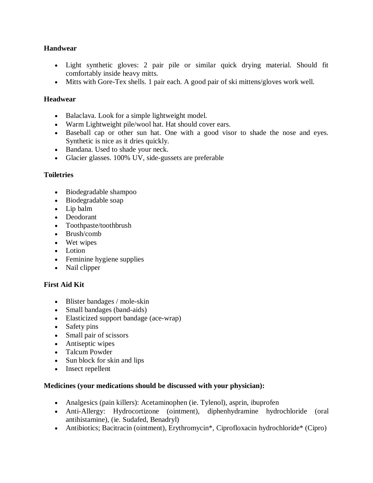### **Handwear**

- Light synthetic gloves: 2 pair pile or similar quick drying material. Should fit comfortably inside heavy mitts.
- Mitts with Gore-Tex shells. 1 pair each. A good pair of ski mittens/gloves work well.

## **Headwear**

- Balaclava. Look for a simple lightweight model.
- Warm Lightweight pile/wool hat. Hat should cover ears.
- Baseball cap or other sun hat. One with a good visor to shade the nose and eyes. Synthetic is nice as it dries quickly.
- Bandana. Used to shade your neck.
- Glacier glasses. 100% UV, side-gussets are preferable

### **Toiletries**

- Biodegradable shampoo
- Biodegradable soap
- Lip balm
- Deodorant
- Toothpaste/toothbrush
- Brush/comb
- Wet wipes
- Lotion
- Feminine hygiene supplies
- Nail clipper

## **First Aid Kit**

- Blister bandages / mole-skin
- Small bandages (band-aids)
- Elasticized support bandage (ace-wrap)
- Safety pins
- Small pair of scissors
- Antiseptic wipes
- Talcum Powder
- Sun block for skin and lips
- Insect repellent

### **Medicines (your medications should be discussed with your physician):**

- Analgesics (pain killers): Acetaminophen (ie. Tylenol), asprin, ibuprofen
- Anti-Allergy: Hydrocortizone (ointment), diphenhydramine hydrochloride (oral antihistamine), (ie. Sudafed, Benadryl)
- Antibiotics; Bacitracin (ointment), Erythromycin\*, Ciprofloxacin hydrochloride\* (Cipro)